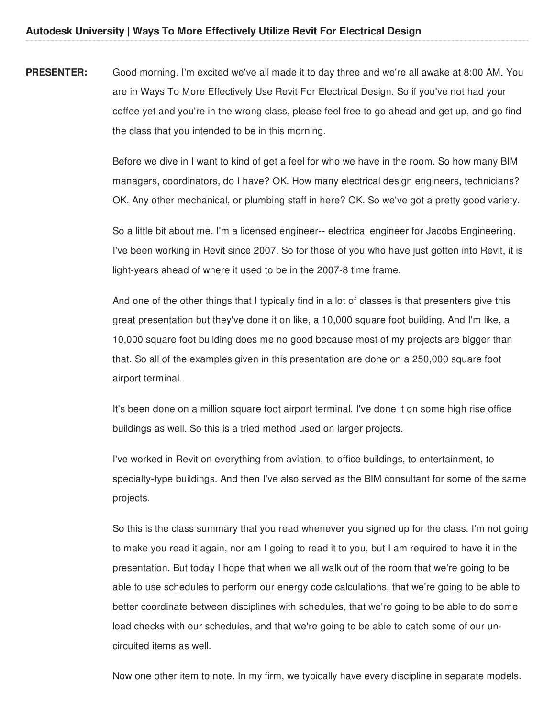**PRESENTER:** Good morning. I'm excited we've all made it to day three and we're all awake at 8:00 AM. You are in Ways To More Effectively Use Revit For Electrical Design. So if you've not had your coffee yet and you're in the wrong class, please feel free to go ahead and get up, and go find the class that you intended to be in this morning.

> Before we dive in I want to kind of get a feel for who we have in the room. So how many BIM managers, coordinators, do I have? OK. How many electrical design engineers, technicians? OK. Any other mechanical, or plumbing staff in here? OK. So we've got a pretty good variety.

> So a little bit about me. I'm a licensed engineer-- electrical engineer for Jacobs Engineering. I've been working in Revit since 2007. So for those of you who have just gotten into Revit, it is light-years ahead of where it used to be in the 2007-8 time frame.

And one of the other things that I typically find in a lot of classes is that presenters give this great presentation but they've done it on like, a 10,000 square foot building. And I'm like, a 10,000 square foot building does me no good because most of my projects are bigger than that. So all of the examples given in this presentation are done on a 250,000 square foot airport terminal.

It's been done on a million square foot airport terminal. I've done it on some high rise office buildings as well. So this is a tried method used on larger projects.

I've worked in Revit on everything from aviation, to office buildings, to entertainment, to specialty-type buildings. And then I've also served as the BIM consultant for some of the same projects.

So this is the class summary that you read whenever you signed up for the class. I'm not going to make you read it again, nor am I going to read it to you, but I am required to have it in the presentation. But today I hope that when we all walk out of the room that we're going to be able to use schedules to perform our energy code calculations, that we're going to be able to better coordinate between disciplines with schedules, that we're going to be able to do some load checks with our schedules, and that we're going to be able to catch some of our uncircuited items as well.

Now one other item to note. In my firm, we typically have every discipline in separate models.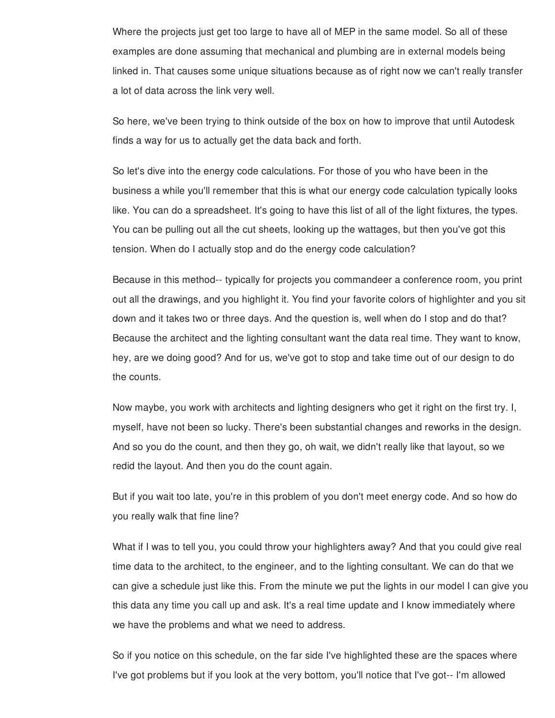Where the projects just get too large to have all of MEP in the same model. So all of these examples are done assuming that mechanical and plumbing are in external models being linked in. That causes some unique situations because as of right now we can't really transfer a lot of data across the link very well.

So here, we've been trying to think outside of the box on how to improve that until Autodesk finds a way for us to actually get the data back and forth.

So let's dive into the energy code calculations. For those of you who have been in the business a while you'll remember that this is what our energy code calculation typically looks like. You can do a spreadsheet. It's going to have this list of all of the light fixtures, the types. You can be pulling out all the cut sheets, looking up the wattages, but then you've got this tension. When do I actually stop and do the energy code calculation?

Because in this method-- typically for projects you commandeer a conference room, you print out all the drawings, and you highlight it. You find your favorite colors of highlighter and you sit down and it takes two or three days. And the question is, well when do I stop and do that? Because the architect and the lighting consultant want the data real time. They want to know, hey, are we doing good? And for us, we've got to stop and take time out of our design to do the counts.

Now maybe, you work with architects and lighting designers who get it right on the first try. I, myself, have not been so lucky. There's been substantial changes and reworks in the design. And so you do the count, and then they go, oh wait, we didn't really like that layout, so we redid the layout. And then you do the count again.

But if you wait too late, you're in this problem of you don't meet energy code. And so how do you really walk that fine line?

What if I was to tell you, you could throw your highlighters away? And that you could give real time data to the architect, to the engineer, and to the lighting consultant. We can do that we can give a schedule just like this. From the minute we put the lights in our model I can give you this data any time you call up and ask. It's a real time update and I know immediately where we have the problems and what we need to address.

So if you notice on this schedule, on the far side I've highlighted these are the spaces where I've got problems but if you look at the very bottom, you'll notice that I've got-- I'm allowed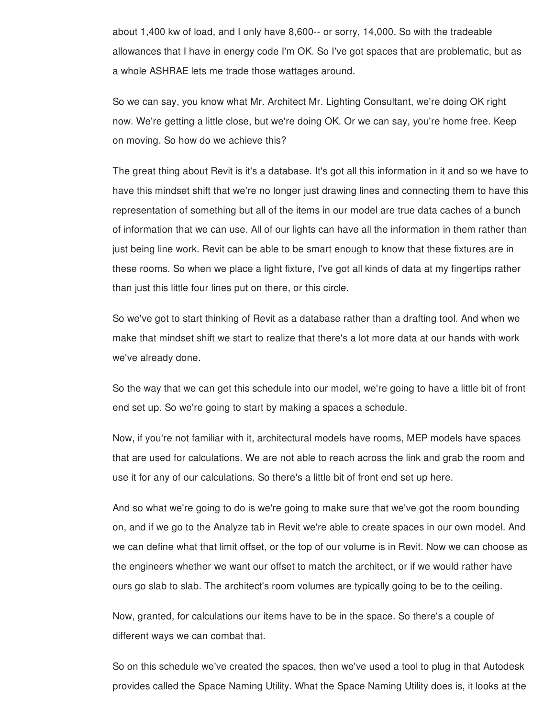about 1,400 kw of load, and I only have 8,600-- or sorry, 14,000. So with the tradeable allowances that I have in energy code I'm OK. So I've got spaces that are problematic, but as a whole ASHRAE lets me trade those wattages around.

So we can say, you know what Mr. Architect Mr. Lighting Consultant, we're doing OK right now. We're getting a little close, but we're doing OK. Or we can say, you're home free. Keep on moving. So how do we achieve this?

The great thing about Revit is it's a database. It's got all this information in it and so we have to have this mindset shift that we're no longer just drawing lines and connecting them to have this representation of something but all of the items in our model are true data caches of a bunch of information that we can use. All of our lights can have all the information in them rather than just being line work. Revit can be able to be smart enough to know that these fixtures are in these rooms. So when we place a light fixture, I've got all kinds of data at my fingertips rather than just this little four lines put on there, or this circle.

So we've got to start thinking of Revit as a database rather than a drafting tool. And when we make that mindset shift we start to realize that there's a lot more data at our hands with work we've already done.

So the way that we can get this schedule into our model, we're going to have a little bit of front end set up. So we're going to start by making a spaces a schedule.

Now, if you're not familiar with it, architectural models have rooms, MEP models have spaces that are used for calculations. We are not able to reach across the link and grab the room and use it for any of our calculations. So there's a little bit of front end set up here.

And so what we're going to do is we're going to make sure that we've got the room bounding on, and if we go to the Analyze tab in Revit we're able to create spaces in our own model. And we can define what that limit offset, or the top of our volume is in Revit. Now we can choose as the engineers whether we want our offset to match the architect, or if we would rather have ours go slab to slab. The architect's room volumes are typically going to be to the ceiling.

Now, granted, for calculations our items have to be in the space. So there's a couple of different ways we can combat that.

So on this schedule we've created the spaces, then we've used a tool to plug in that Autodesk provides called the Space Naming Utility. What the Space Naming Utility does is, it looks at the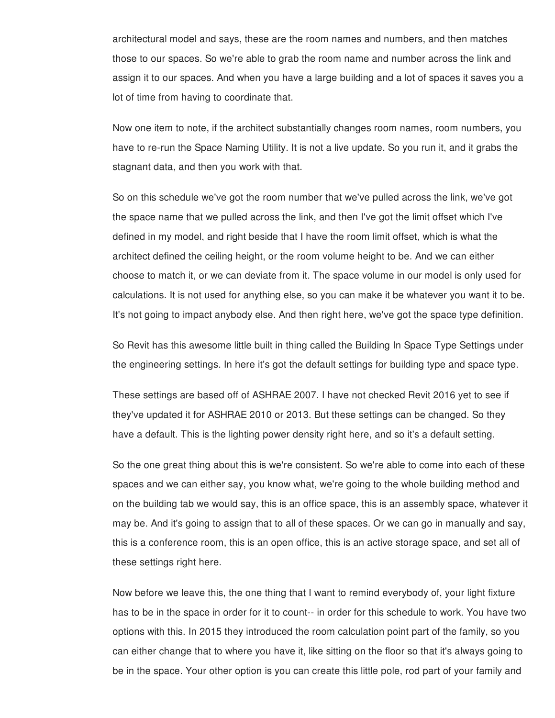architectural model and says, these are the room names and numbers, and then matches those to our spaces. So we're able to grab the room name and number across the link and assign it to our spaces. And when you have a large building and a lot of spaces it saves you a lot of time from having to coordinate that.

Now one item to note, if the architect substantially changes room names, room numbers, you have to re-run the Space Naming Utility. It is not a live update. So you run it, and it grabs the stagnant data, and then you work with that.

So on this schedule we've got the room number that we've pulled across the link, we've got the space name that we pulled across the link, and then I've got the limit offset which I've defined in my model, and right beside that I have the room limit offset, which is what the architect defined the ceiling height, or the room volume height to be. And we can either choose to match it, or we can deviate from it. The space volume in our model is only used for calculations. It is not used for anything else, so you can make it be whatever you want it to be. It's not going to impact anybody else. And then right here, we've got the space type definition.

So Revit has this awesome little built in thing called the Building In Space Type Settings under the engineering settings. In here it's got the default settings for building type and space type.

These settings are based off of ASHRAE 2007. I have not checked Revit 2016 yet to see if they've updated it for ASHRAE 2010 or 2013. But these settings can be changed. So they have a default. This is the lighting power density right here, and so it's a default setting.

So the one great thing about this is we're consistent. So we're able to come into each of these spaces and we can either say, you know what, we're going to the whole building method and on the building tab we would say, this is an office space, this is an assembly space, whatever it may be. And it's going to assign that to all of these spaces. Or we can go in manually and say, this is a conference room, this is an open office, this is an active storage space, and set all of these settings right here.

Now before we leave this, the one thing that I want to remind everybody of, your light fixture has to be in the space in order for it to count-- in order for this schedule to work. You have two options with this. In 2015 they introduced the room calculation point part of the family, so you can either change that to where you have it, like sitting on the floor so that it's always going to be in the space. Your other option is you can create this little pole, rod part of your family and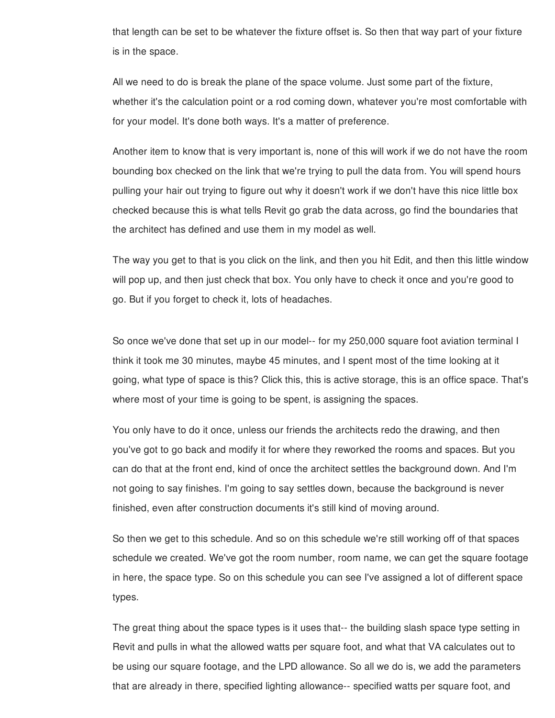that length can be set to be whatever the fixture offset is. So then that way part of your fixture is in the space.

All we need to do is break the plane of the space volume. Just some part of the fixture, whether it's the calculation point or a rod coming down, whatever you're most comfortable with for your model. It's done both ways. It's a matter of preference.

Another item to know that is very important is, none of this will work if we do not have the room bounding box checked on the link that we're trying to pull the data from. You will spend hours pulling your hair out trying to figure out why it doesn't work if we don't have this nice little box checked because this is what tells Revit go grab the data across, go find the boundaries that the architect has defined and use them in my model as well.

The way you get to that is you click on the link, and then you hit Edit, and then this little window will pop up, and then just check that box. You only have to check it once and you're good to go. But if you forget to check it, lots of headaches.

So once we've done that set up in our model-- for my 250,000 square foot aviation terminal I think it took me 30 minutes, maybe 45 minutes, and I spent most of the time looking at it going, what type of space is this? Click this, this is active storage, this is an office space. That's where most of your time is going to be spent, is assigning the spaces.

You only have to do it once, unless our friends the architects redo the drawing, and then you've got to go back and modify it for where they reworked the rooms and spaces. But you can do that at the front end, kind of once the architect settles the background down. And I'm not going to say finishes. I'm going to say settles down, because the background is never finished, even after construction documents it's still kind of moving around.

So then we get to this schedule. And so on this schedule we're still working off of that spaces schedule we created. We've got the room number, room name, we can get the square footage in here, the space type. So on this schedule you can see I've assigned a lot of different space types.

The great thing about the space types is it uses that-- the building slash space type setting in Revit and pulls in what the allowed watts per square foot, and what that VA calculates out to be using our square footage, and the LPD allowance. So all we do is, we add the parameters that are already in there, specified lighting allowance-- specified watts per square foot, and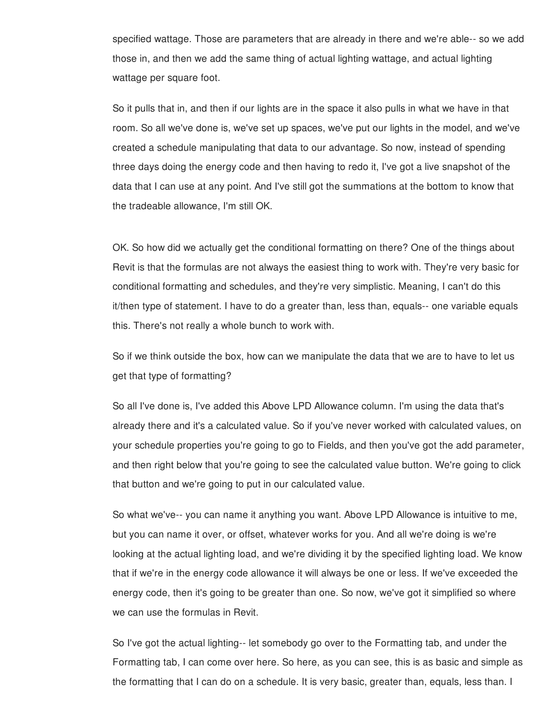specified wattage. Those are parameters that are already in there and we're able-- so we add those in, and then we add the same thing of actual lighting wattage, and actual lighting wattage per square foot.

So it pulls that in, and then if our lights are in the space it also pulls in what we have in that room. So all we've done is, we've set up spaces, we've put our lights in the model, and we've created a schedule manipulating that data to our advantage. So now, instead of spending three days doing the energy code and then having to redo it, I've got a live snapshot of the data that I can use at any point. And I've still got the summations at the bottom to know that the tradeable allowance, I'm still OK.

OK. So how did we actually get the conditional formatting on there? One of the things about Revit is that the formulas are not always the easiest thing to work with. They're very basic for conditional formatting and schedules, and they're very simplistic. Meaning, I can't do this it/then type of statement. I have to do a greater than, less than, equals-- one variable equals this. There's not really a whole bunch to work with.

So if we think outside the box, how can we manipulate the data that we are to have to let us get that type of formatting?

So all I've done is, I've added this Above LPD Allowance column. I'm using the data that's already there and it's a calculated value. So if you've never worked with calculated values, on your schedule properties you're going to go to Fields, and then you've got the add parameter, and then right below that you're going to see the calculated value button. We're going to click that button and we're going to put in our calculated value.

So what we've-- you can name it anything you want. Above LPD Allowance is intuitive to me, but you can name it over, or offset, whatever works for you. And all we're doing is we're looking at the actual lighting load, and we're dividing it by the specified lighting load. We know that if we're in the energy code allowance it will always be one or less. If we've exceeded the energy code, then it's going to be greater than one. So now, we've got it simplified so where we can use the formulas in Revit.

So I've got the actual lighting-- let somebody go over to the Formatting tab, and under the Formatting tab, I can come over here. So here, as you can see, this is as basic and simple as the formatting that I can do on a schedule. It is very basic, greater than, equals, less than. I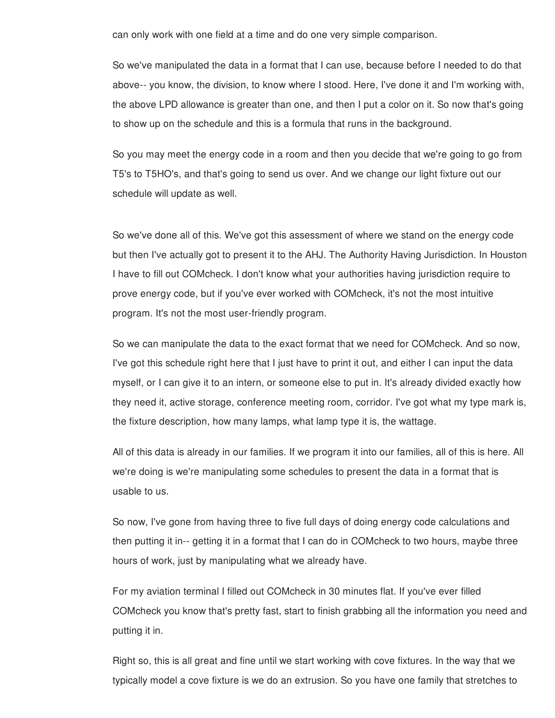can only work with one field at a time and do one very simple comparison.

So we've manipulated the data in a format that I can use, because before I needed to do that above-- you know, the division, to know where I stood. Here, I've done it and I'm working with, the above LPD allowance is greater than one, and then I put a color on it. So now that's going to show up on the schedule and this is a formula that runs in the background.

So you may meet the energy code in a room and then you decide that we're going to go from T5's to T5HO's, and that's going to send us over. And we change our light fixture out our schedule will update as well.

So we've done all of this. We've got this assessment of where we stand on the energy code but then I've actually got to present it to the AHJ. The Authority Having Jurisdiction. In Houston I have to fill out COMcheck. I don't know what your authorities having jurisdiction require to prove energy code, but if you've ever worked with COMcheck, it's not the most intuitive program. It's not the most user-friendly program.

So we can manipulate the data to the exact format that we need for COMcheck. And so now, I've got this schedule right here that I just have to print it out, and either I can input the data myself, or I can give it to an intern, or someone else to put in. It's already divided exactly how they need it, active storage, conference meeting room, corridor. I've got what my type mark is, the fixture description, how many lamps, what lamp type it is, the wattage.

All of this data is already in our families. If we program it into our families, all of this is here. All we're doing is we're manipulating some schedules to present the data in a format that is usable to us.

So now, I've gone from having three to five full days of doing energy code calculations and then putting it in-- getting it in a format that I can do in COMcheck to two hours, maybe three hours of work, just by manipulating what we already have.

For my aviation terminal I filled out COMcheck in 30 minutes flat. If you've ever filled COMcheck you know that's pretty fast, start to finish grabbing all the information you need and putting it in.

Right so, this is all great and fine until we start working with cove fixtures. In the way that we typically model a cove fixture is we do an extrusion. So you have one family that stretches to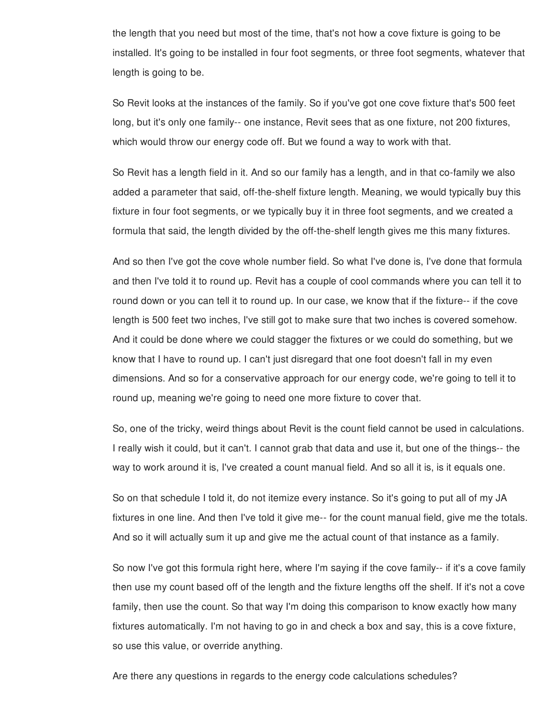the length that you need but most of the time, that's not how a cove fixture is going to be installed. It's going to be installed in four foot segments, or three foot segments, whatever that length is going to be.

So Revit looks at the instances of the family. So if you've got one cove fixture that's 500 feet long, but it's only one family-- one instance, Revit sees that as one fixture, not 200 fixtures, which would throw our energy code off. But we found a way to work with that.

So Revit has a length field in it. And so our family has a length, and in that co-family we also added a parameter that said, off-the-shelf fixture length. Meaning, we would typically buy this fixture in four foot segments, or we typically buy it in three foot segments, and we created a formula that said, the length divided by the off-the-shelf length gives me this many fixtures.

And so then I've got the cove whole number field. So what I've done is, I've done that formula and then I've told it to round up. Revit has a couple of cool commands where you can tell it to round down or you can tell it to round up. In our case, we know that if the fixture-- if the cove length is 500 feet two inches, I've still got to make sure that two inches is covered somehow. And it could be done where we could stagger the fixtures or we could do something, but we know that I have to round up. I can't just disregard that one foot doesn't fall in my even dimensions. And so for a conservative approach for our energy code, we're going to tell it to round up, meaning we're going to need one more fixture to cover that.

So, one of the tricky, weird things about Revit is the count field cannot be used in calculations. I really wish it could, but it can't. I cannot grab that data and use it, but one of the things-- the way to work around it is, I've created a count manual field. And so all it is, is it equals one.

So on that schedule I told it, do not itemize every instance. So it's going to put all of my JA fixtures in one line. And then I've told it give me-- for the count manual field, give me the totals. And so it will actually sum it up and give me the actual count of that instance as a family.

So now I've got this formula right here, where I'm saying if the cove family-- if it's a cove family then use my count based off of the length and the fixture lengths off the shelf. If it's not a cove family, then use the count. So that way I'm doing this comparison to know exactly how many fixtures automatically. I'm not having to go in and check a box and say, this is a cove fixture, so use this value, or override anything.

Are there any questions in regards to the energy code calculations schedules?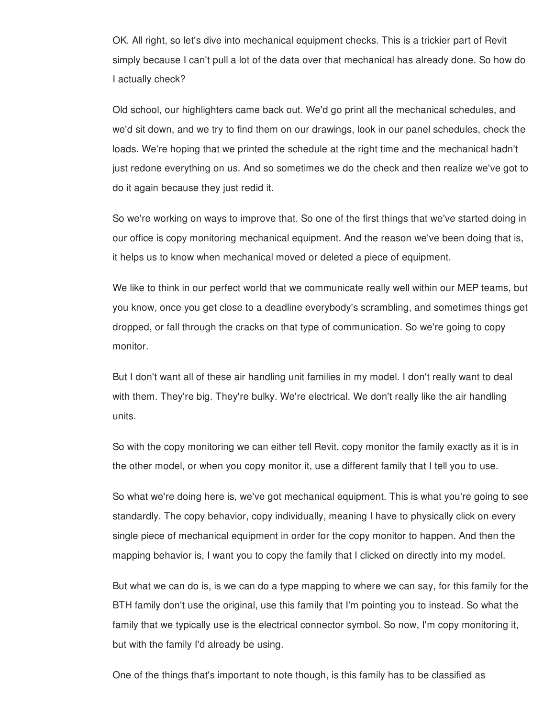OK. All right, so let's dive into mechanical equipment checks. This is a trickier part of Revit simply because I can't pull a lot of the data over that mechanical has already done. So how do I actually check?

Old school, our highlighters came back out. We'd go print all the mechanical schedules, and we'd sit down, and we try to find them on our drawings, look in our panel schedules, check the loads. We're hoping that we printed the schedule at the right time and the mechanical hadn't just redone everything on us. And so sometimes we do the check and then realize we've got to do it again because they just redid it.

So we're working on ways to improve that. So one of the first things that we've started doing in our office is copy monitoring mechanical equipment. And the reason we've been doing that is, it helps us to know when mechanical moved or deleted a piece of equipment.

We like to think in our perfect world that we communicate really well within our MEP teams, but you know, once you get close to a deadline everybody's scrambling, and sometimes things get dropped, or fall through the cracks on that type of communication. So we're going to copy monitor.

But I don't want all of these air handling unit families in my model. I don't really want to deal with them. They're big. They're bulky. We're electrical. We don't really like the air handling units.

So with the copy monitoring we can either tell Revit, copy monitor the family exactly as it is in the other model, or when you copy monitor it, use a different family that I tell you to use.

So what we're doing here is, we've got mechanical equipment. This is what you're going to see standardly. The copy behavior, copy individually, meaning I have to physically click on every single piece of mechanical equipment in order for the copy monitor to happen. And then the mapping behavior is, I want you to copy the family that I clicked on directly into my model.

But what we can do is, is we can do a type mapping to where we can say, for this family for the BTH family don't use the original, use this family that I'm pointing you to instead. So what the family that we typically use is the electrical connector symbol. So now, I'm copy monitoring it, but with the family I'd already be using.

One of the things that's important to note though, is this family has to be classified as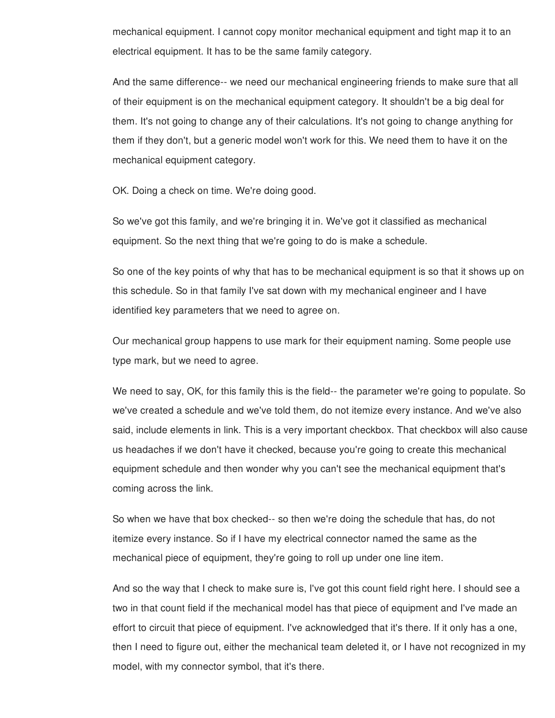mechanical equipment. I cannot copy monitor mechanical equipment and tight map it to an electrical equipment. It has to be the same family category.

And the same difference-- we need our mechanical engineering friends to make sure that all of their equipment is on the mechanical equipment category. It shouldn't be a big deal for them. It's not going to change any of their calculations. It's not going to change anything for them if they don't, but a generic model won't work for this. We need them to have it on the mechanical equipment category.

OK. Doing a check on time. We're doing good.

So we've got this family, and we're bringing it in. We've got it classified as mechanical equipment. So the next thing that we're going to do is make a schedule.

So one of the key points of why that has to be mechanical equipment is so that it shows up on this schedule. So in that family I've sat down with my mechanical engineer and I have identified key parameters that we need to agree on.

Our mechanical group happens to use mark for their equipment naming. Some people use type mark, but we need to agree.

We need to say, OK, for this family this is the field-- the parameter we're going to populate. So we've created a schedule and we've told them, do not itemize every instance. And we've also said, include elements in link. This is a very important checkbox. That checkbox will also cause us headaches if we don't have it checked, because you're going to create this mechanical equipment schedule and then wonder why you can't see the mechanical equipment that's coming across the link.

So when we have that box checked-- so then we're doing the schedule that has, do not itemize every instance. So if I have my electrical connector named the same as the mechanical piece of equipment, they're going to roll up under one line item.

And so the way that I check to make sure is, I've got this count field right here. I should see a two in that count field if the mechanical model has that piece of equipment and I've made an effort to circuit that piece of equipment. I've acknowledged that it's there. If it only has a one, then I need to figure out, either the mechanical team deleted it, or I have not recognized in my model, with my connector symbol, that it's there.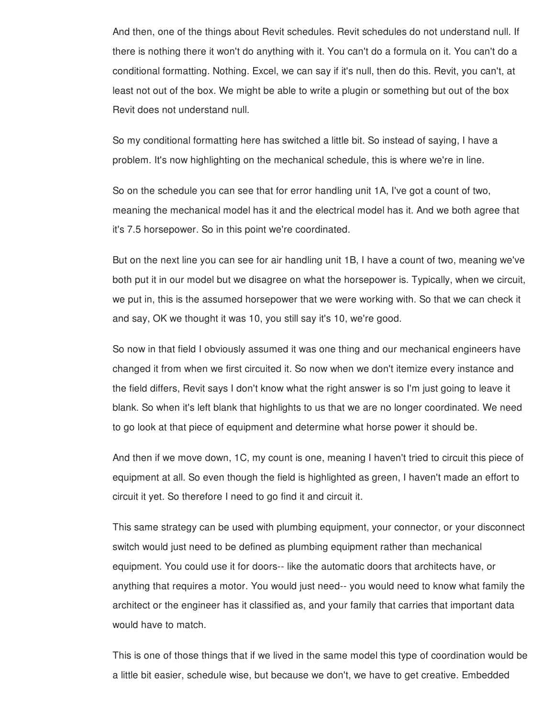And then, one of the things about Revit schedules. Revit schedules do not understand null. If there is nothing there it won't do anything with it. You can't do a formula on it. You can't do a conditional formatting. Nothing. Excel, we can say if it's null, then do this. Revit, you can't, at least not out of the box. We might be able to write a plugin or something but out of the box Revit does not understand null.

So my conditional formatting here has switched a little bit. So instead of saying, I have a problem. It's now highlighting on the mechanical schedule, this is where we're in line.

So on the schedule you can see that for error handling unit 1A, I've got a count of two, meaning the mechanical model has it and the electrical model has it. And we both agree that it's 7.5 horsepower. So in this point we're coordinated.

But on the next line you can see for air handling unit 1B, I have a count of two, meaning we've both put it in our model but we disagree on what the horsepower is. Typically, when we circuit, we put in, this is the assumed horsepower that we were working with. So that we can check it and say, OK we thought it was 10, you still say it's 10, we're good.

So now in that field I obviously assumed it was one thing and our mechanical engineers have changed it from when we first circuited it. So now when we don't itemize every instance and the field differs, Revit says I don't know what the right answer is so I'm just going to leave it blank. So when it's left blank that highlights to us that we are no longer coordinated. We need to go look at that piece of equipment and determine what horse power it should be.

And then if we move down, 1C, my count is one, meaning I haven't tried to circuit this piece of equipment at all. So even though the field is highlighted as green, I haven't made an effort to circuit it yet. So therefore I need to go find it and circuit it.

This same strategy can be used with plumbing equipment, your connector, or your disconnect switch would just need to be defined as plumbing equipment rather than mechanical equipment. You could use it for doors-- like the automatic doors that architects have, or anything that requires a motor. You would just need-- you would need to know what family the architect or the engineer has it classified as, and your family that carries that important data would have to match.

This is one of those things that if we lived in the same model this type of coordination would be a little bit easier, schedule wise, but because we don't, we have to get creative. Embedded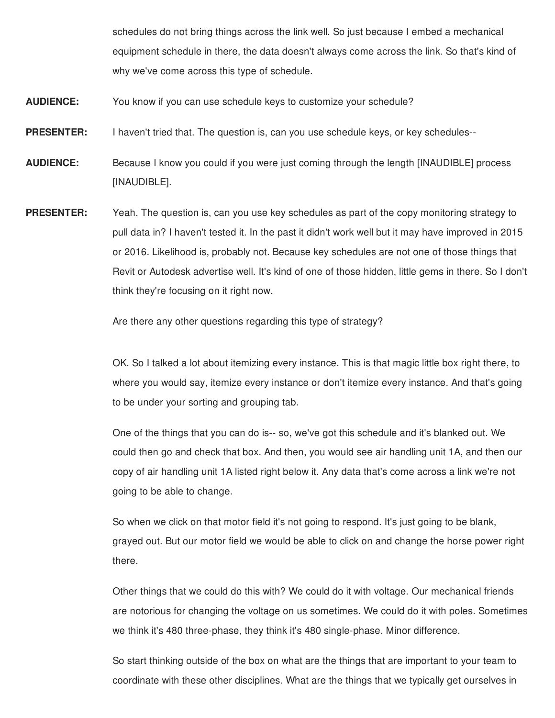schedules do not bring things across the link well. So just because I embed a mechanical equipment schedule in there, the data doesn't always come across the link. So that's kind of why we've come across this type of schedule.

- **AUDIENCE:** You know if you can use schedule keys to customize your schedule?
- **PRESENTER:** I haven't tried that. The question is, can you use schedule keys, or key schedules--
- **AUDIENCE:** Because I know you could if you were just coming through the length [INAUDIBLE] process [INAUDIBLE].
- **PRESENTER:** Yeah. The question is, can you use key schedules as part of the copy monitoring strategy to pull data in? I haven't tested it. In the past it didn't work well but it may have improved in 2015 or 2016. Likelihood is, probably not. Because key schedules are not one of those things that Revit or Autodesk advertise well. It's kind of one of those hidden, little gems in there. So I don't think they're focusing on it right now.

Are there any other questions regarding this type of strategy?

OK. So I talked a lot about itemizing every instance. This is that magic little box right there, to where you would say, itemize every instance or don't itemize every instance. And that's going to be under your sorting and grouping tab.

One of the things that you can do is-- so, we've got this schedule and it's blanked out. We could then go and check that box. And then, you would see air handling unit 1A, and then our copy of air handling unit 1A listed right below it. Any data that's come across a link we're not going to be able to change.

So when we click on that motor field it's not going to respond. It's just going to be blank, grayed out. But our motor field we would be able to click on and change the horse power right there.

Other things that we could do this with? We could do it with voltage. Our mechanical friends are notorious for changing the voltage on us sometimes. We could do it with poles. Sometimes we think it's 480 three-phase, they think it's 480 single-phase. Minor difference.

So start thinking outside of the box on what are the things that are important to your team to coordinate with these other disciplines. What are the things that we typically get ourselves in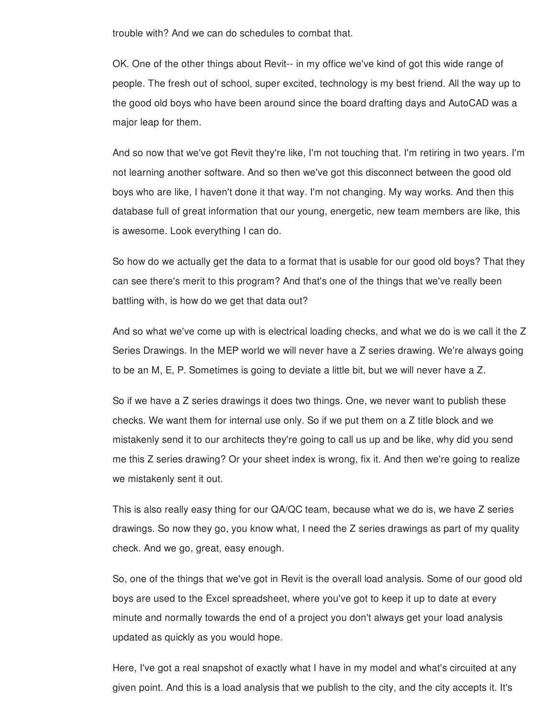trouble with? And we can do schedules to combat that.

OK. One of the other things about Revit-- in my office we've kind of got this wide range of people. The fresh out of school, super excited, technology is my best friend. All the way up to the good old boys who have been around since the board drafting days and AutoCAD was a major leap for them.

And so now that we've got Revit they're like, I'm not touching that. I'm retiring in two years. I'm not learning another software. And so then we've got this disconnect between the good old boys who are like, I haven't done it that way. I'm not changing. My way works. And then this database full of great information that our young, energetic, new team members are like, this is awesome. Look everything I can do.

So how do we actually get the data to a format that is usable for our good old boys? That they can see there's merit to this program? And that's one of the things that we've really been battling with, is how do we get that data out?

And so what we've come up with is electrical loading checks, and what we do is we call it the Z Series Drawings. In the MEP world we will never have a Z series drawing. We're always going to be an M, E, P. Sometimes is going to deviate a little bit, but we will never have a Z.

So if we have a Z series drawings it does two things. One, we never want to publish these checks. We want them for internal use only. So if we put them on a Z title block and we mistakenly send it to our architects they're going to call us up and be like, why did you send me this Z series drawing? Or your sheet index is wrong, fix it. And then we're going to realize we mistakenly sent it out.

This is also really easy thing for our QA/QC team, because what we do is, we have Z series drawings. So now they go, you know what, I need the Z series drawings as part of my quality check. And we go, great, easy enough.

So, one of the things that we've got in Revit is the overall load analysis. Some of our good old boys are used to the Excel spreadsheet, where you've got to keep it up to date at every minute and normally towards the end of a project you don't always get your load analysis updated as quickly as you would hope.

Here, I've got a real snapshot of exactly what I have in my model and what's circuited at any given point. And this is a load analysis that we publish to the city, and the city accepts it. It's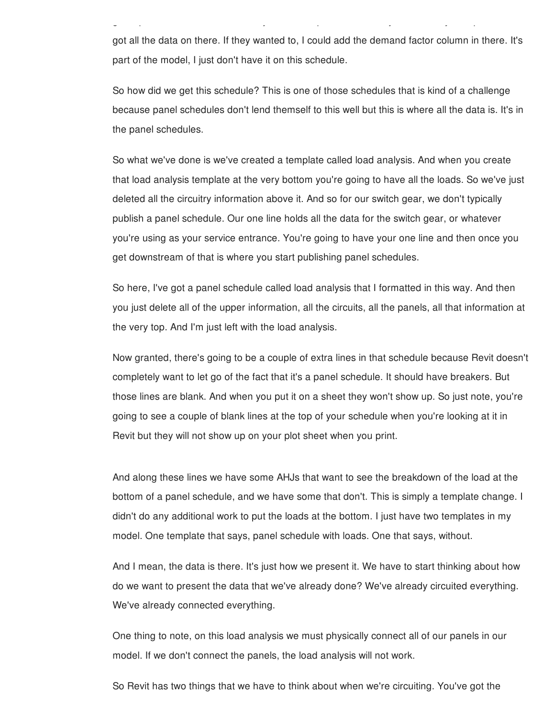got all the data on there. If they wanted to, I could add the demand factor column in there. It's part of the model, I just don't have it on this schedule.

given point. And this is a load analysis that we publish to the city, and the city, and the city accepts it. It<br>It is a local analysis that we publish to the city accepts it. It is a local accepts it is a local analysis of

So how did we get this schedule? This is one of those schedules that is kind of a challenge because panel schedules don't lend themself to this well but this is where all the data is. It's in the panel schedules.

So what we've done is we've created a template called load analysis. And when you create that load analysis template at the very bottom you're going to have all the loads. So we've just deleted all the circuitry information above it. And so for our switch gear, we don't typically publish a panel schedule. Our one line holds all the data for the switch gear, or whatever you're using as your service entrance. You're going to have your one line and then once you get downstream of that is where you start publishing panel schedules.

So here, I've got a panel schedule called load analysis that I formatted in this way. And then you just delete all of the upper information, all the circuits, all the panels, all that information at the very top. And I'm just left with the load analysis.

Now granted, there's going to be a couple of extra lines in that schedule because Revit doesn't completely want to let go of the fact that it's a panel schedule. It should have breakers. But those lines are blank. And when you put it on a sheet they won't show up. So just note, you're going to see a couple of blank lines at the top of your schedule when you're looking at it in Revit but they will not show up on your plot sheet when you print.

And along these lines we have some AHJs that want to see the breakdown of the load at the bottom of a panel schedule, and we have some that don't. This is simply a template change. I didn't do any additional work to put the loads at the bottom. I just have two templates in my model. One template that says, panel schedule with loads. One that says, without.

And I mean, the data is there. It's just how we present it. We have to start thinking about how do we want to present the data that we've already done? We've already circuited everything. We've already connected everything.

One thing to note, on this load analysis we must physically connect all of our panels in our model. If we don't connect the panels, the load analysis will not work.

So Revit has two things that we have to think about when we're circuiting. You've got the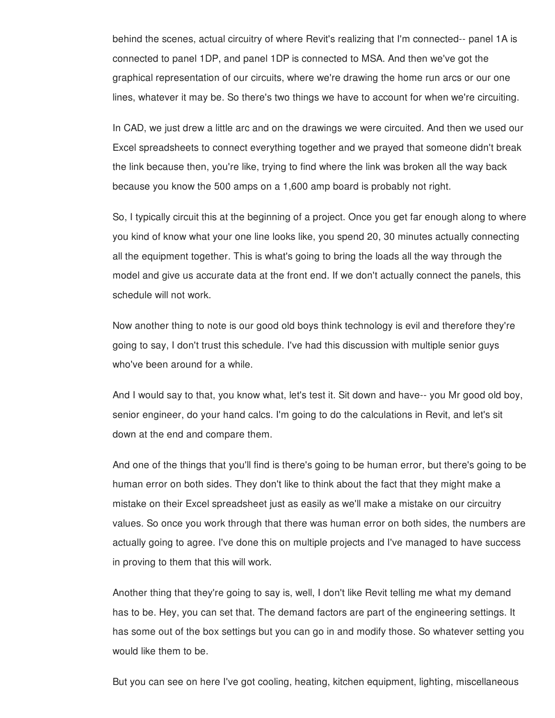behind the scenes, actual circuitry of where Revit's realizing that I'm connected-- panel 1A is connected to panel 1DP, and panel 1DP is connected to MSA. And then we've got the graphical representation of our circuits, where we're drawing the home run arcs or our one lines, whatever it may be. So there's two things we have to account for when we're circuiting.

In CAD, we just drew a little arc and on the drawings we were circuited. And then we used our Excel spreadsheets to connect everything together and we prayed that someone didn't break the link because then, you're like, trying to find where the link was broken all the way back because you know the 500 amps on a 1,600 amp board is probably not right.

So, I typically circuit this at the beginning of a project. Once you get far enough along to where you kind of know what your one line looks like, you spend 20, 30 minutes actually connecting all the equipment together. This is what's going to bring the loads all the way through the model and give us accurate data at the front end. If we don't actually connect the panels, this schedule will not work.

Now another thing to note is our good old boys think technology is evil and therefore they're going to say, I don't trust this schedule. I've had this discussion with multiple senior guys who've been around for a while.

And I would say to that, you know what, let's test it. Sit down and have-- you Mr good old boy, senior engineer, do your hand calcs. I'm going to do the calculations in Revit, and let's sit down at the end and compare them.

And one of the things that you'll find is there's going to be human error, but there's going to be human error on both sides. They don't like to think about the fact that they might make a mistake on their Excel spreadsheet just as easily as we'll make a mistake on our circuitry values. So once you work through that there was human error on both sides, the numbers are actually going to agree. I've done this on multiple projects and I've managed to have success in proving to them that this will work.

Another thing that they're going to say is, well, I don't like Revit telling me what my demand has to be. Hey, you can set that. The demand factors are part of the engineering settings. It has some out of the box settings but you can go in and modify those. So whatever setting you would like them to be.

But you can see on here I've got cooling, heating, kitchen equipment, lighting, miscellaneous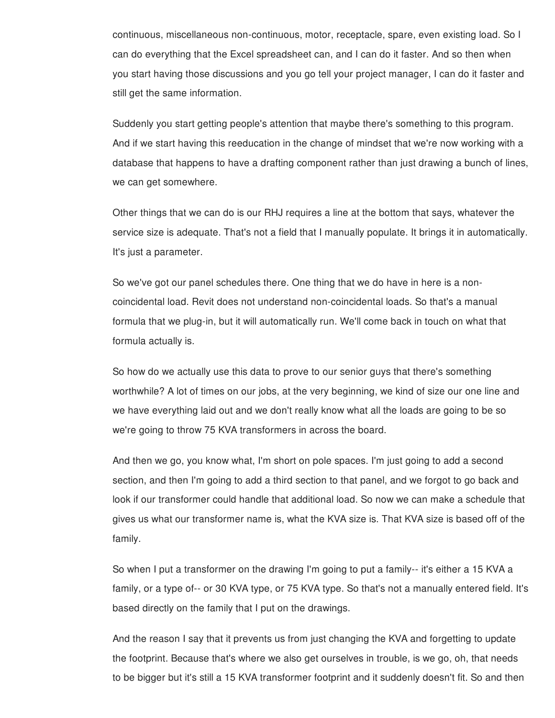continuous, miscellaneous non-continuous, motor, receptacle, spare, even existing load. So I can do everything that the Excel spreadsheet can, and I can do it faster. And so then when you start having those discussions and you go tell your project manager, I can do it faster and still get the same information.

Suddenly you start getting people's attention that maybe there's something to this program. And if we start having this reeducation in the change of mindset that we're now working with a database that happens to have a drafting component rather than just drawing a bunch of lines, we can get somewhere.

Other things that we can do is our RHJ requires a line at the bottom that says, whatever the service size is adequate. That's not a field that I manually populate. It brings it in automatically. It's just a parameter.

So we've got our panel schedules there. One thing that we do have in here is a noncoincidental load. Revit does not understand non-coincidental loads. So that's a manual formula that we plug-in, but it will automatically run. We'll come back in touch on what that formula actually is.

So how do we actually use this data to prove to our senior guys that there's something worthwhile? A lot of times on our jobs, at the very beginning, we kind of size our one line and we have everything laid out and we don't really know what all the loads are going to be so we're going to throw 75 KVA transformers in across the board.

And then we go, you know what, I'm short on pole spaces. I'm just going to add a second section, and then I'm going to add a third section to that panel, and we forgot to go back and look if our transformer could handle that additional load. So now we can make a schedule that gives us what our transformer name is, what the KVA size is. That KVA size is based off of the family.

So when I put a transformer on the drawing I'm going to put a family-- it's either a 15 KVA a family, or a type of-- or 30 KVA type, or 75 KVA type. So that's not a manually entered field. It's based directly on the family that I put on the drawings.

And the reason I say that it prevents us from just changing the KVA and forgetting to update the footprint. Because that's where we also get ourselves in trouble, is we go, oh, that needs to be bigger but it's still a 15 KVA transformer footprint and it suddenly doesn't fit. So and then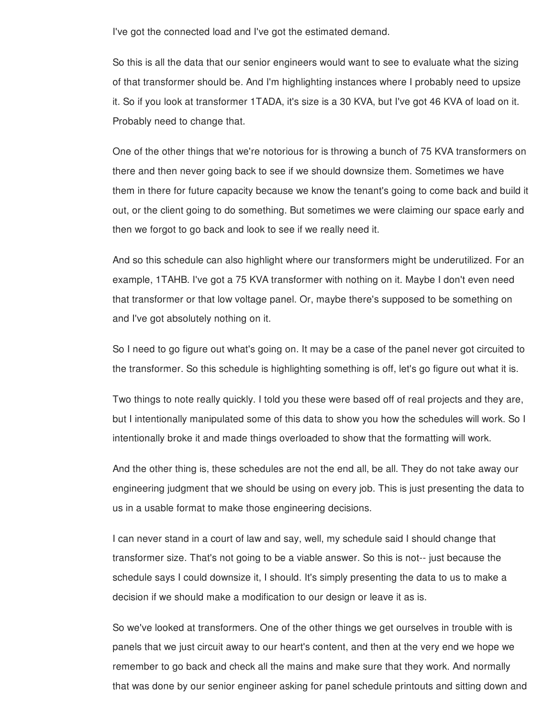I've got the connected load and I've got the estimated demand.

So this is all the data that our senior engineers would want to see to evaluate what the sizing of that transformer should be. And I'm highlighting instances where I probably need to upsize it. So if you look at transformer 1TADA, it's size is a 30 KVA, but I've got 46 KVA of load on it. Probably need to change that.

One of the other things that we're notorious for is throwing a bunch of 75 KVA transformers on there and then never going back to see if we should downsize them. Sometimes we have them in there for future capacity because we know the tenant's going to come back and build it out, or the client going to do something. But sometimes we were claiming our space early and then we forgot to go back and look to see if we really need it.

And so this schedule can also highlight where our transformers might be underutilized. For an example, 1TAHB. I've got a 75 KVA transformer with nothing on it. Maybe I don't even need that transformer or that low voltage panel. Or, maybe there's supposed to be something on and I've got absolutely nothing on it.

So I need to go figure out what's going on. It may be a case of the panel never got circuited to the transformer. So this schedule is highlighting something is off, let's go figure out what it is.

Two things to note really quickly. I told you these were based off of real projects and they are, but I intentionally manipulated some of this data to show you how the schedules will work. So I intentionally broke it and made things overloaded to show that the formatting will work.

And the other thing is, these schedules are not the end all, be all. They do not take away our engineering judgment that we should be using on every job. This is just presenting the data to us in a usable format to make those engineering decisions.

I can never stand in a court of law and say, well, my schedule said I should change that transformer size. That's not going to be a viable answer. So this is not-- just because the schedule says I could downsize it, I should. It's simply presenting the data to us to make a decision if we should make a modification to our design or leave it as is.

So we've looked at transformers. One of the other things we get ourselves in trouble with is panels that we just circuit away to our heart's content, and then at the very end we hope we remember to go back and check all the mains and make sure that they work. And normally that was done by our senior engineer asking for panel schedule printouts and sitting down and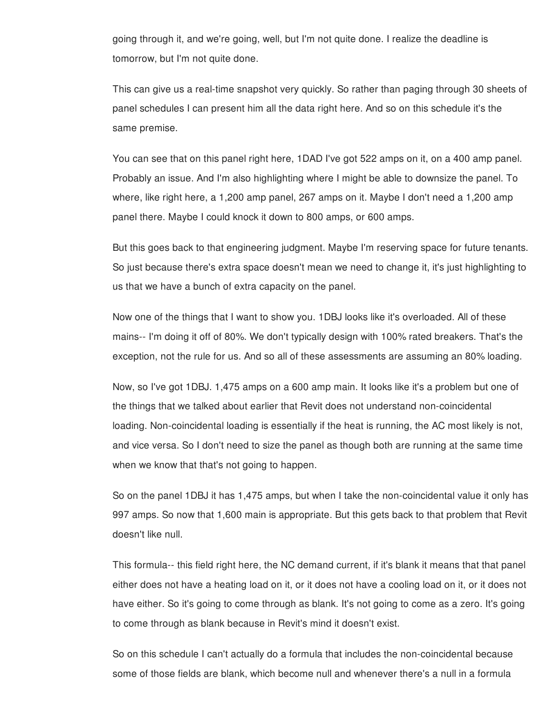going through it, and we're going, well, but I'm not quite done. I realize the deadline is tomorrow, but I'm not quite done.

This can give us a real-time snapshot very quickly. So rather than paging through 30 sheets of panel schedules I can present him all the data right here. And so on this schedule it's the same premise.

You can see that on this panel right here, 1DAD I've got 522 amps on it, on a 400 amp panel. Probably an issue. And I'm also highlighting where I might be able to downsize the panel. To where, like right here, a 1,200 amp panel, 267 amps on it. Maybe I don't need a 1,200 amp panel there. Maybe I could knock it down to 800 amps, or 600 amps.

But this goes back to that engineering judgment. Maybe I'm reserving space for future tenants. So just because there's extra space doesn't mean we need to change it, it's just highlighting to us that we have a bunch of extra capacity on the panel.

Now one of the things that I want to show you. 1DBJ looks like it's overloaded. All of these mains-- I'm doing it off of 80%. We don't typically design with 100% rated breakers. That's the exception, not the rule for us. And so all of these assessments are assuming an 80% loading.

Now, so I've got 1DBJ. 1,475 amps on a 600 amp main. It looks like it's a problem but one of the things that we talked about earlier that Revit does not understand non-coincidental loading. Non-coincidental loading is essentially if the heat is running, the AC most likely is not, and vice versa. So I don't need to size the panel as though both are running at the same time when we know that that's not going to happen.

So on the panel 1DBJ it has 1,475 amps, but when I take the non-coincidental value it only has 997 amps. So now that 1,600 main is appropriate. But this gets back to that problem that Revit doesn't like null.

This formula-- this field right here, the NC demand current, if it's blank it means that that panel either does not have a heating load on it, or it does not have a cooling load on it, or it does not have either. So it's going to come through as blank. It's not going to come as a zero. It's going to come through as blank because in Revit's mind it doesn't exist.

So on this schedule I can't actually do a formula that includes the non-coincidental because some of those fields are blank, which become null and whenever there's a null in a formula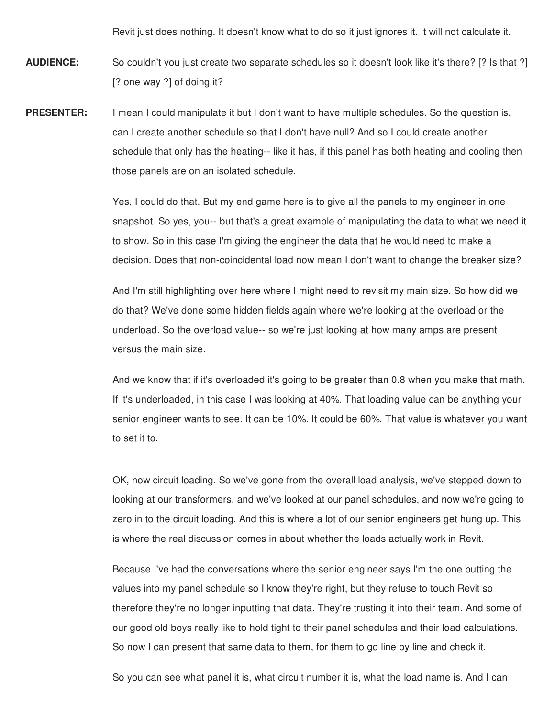Revit just does nothing. It doesn't know what to do so it just ignores it. It will not calculate it.

**AUDIENCE:** So couldn't you just create two separate schedules so it doesn't look like it's there? [? Is that ?] [? one way ?] of doing it?

**PRESENTER:** I mean I could manipulate it but I don't want to have multiple schedules. So the question is, can I create another schedule so that I don't have null? And so I could create another schedule that only has the heating-- like it has, if this panel has both heating and cooling then those panels are on an isolated schedule.

> Yes, I could do that. But my end game here is to give all the panels to my engineer in one snapshot. So yes, you-- but that's a great example of manipulating the data to what we need it to show. So in this case I'm giving the engineer the data that he would need to make a decision. Does that non-coincidental load now mean I don't want to change the breaker size?

And I'm still highlighting over here where I might need to revisit my main size. So how did we do that? We've done some hidden fields again where we're looking at the overload or the underload. So the overload value-- so we're just looking at how many amps are present versus the main size.

And we know that if it's overloaded it's going to be greater than 0.8 when you make that math. If it's underloaded, in this case I was looking at 40%. That loading value can be anything your senior engineer wants to see. It can be 10%. It could be 60%. That value is whatever you want to set it to.

OK, now circuit loading. So we've gone from the overall load analysis, we've stepped down to looking at our transformers, and we've looked at our panel schedules, and now we're going to zero in to the circuit loading. And this is where a lot of our senior engineers get hung up. This is where the real discussion comes in about whether the loads actually work in Revit.

Because I've had the conversations where the senior engineer says I'm the one putting the values into my panel schedule so I know they're right, but they refuse to touch Revit so therefore they're no longer inputting that data. They're trusting it into their team. And some of our good old boys really like to hold tight to their panel schedules and their load calculations. So now I can present that same data to them, for them to go line by line and check it.

So you can see what panel it is, what circuit number it is, what the load name is. And I can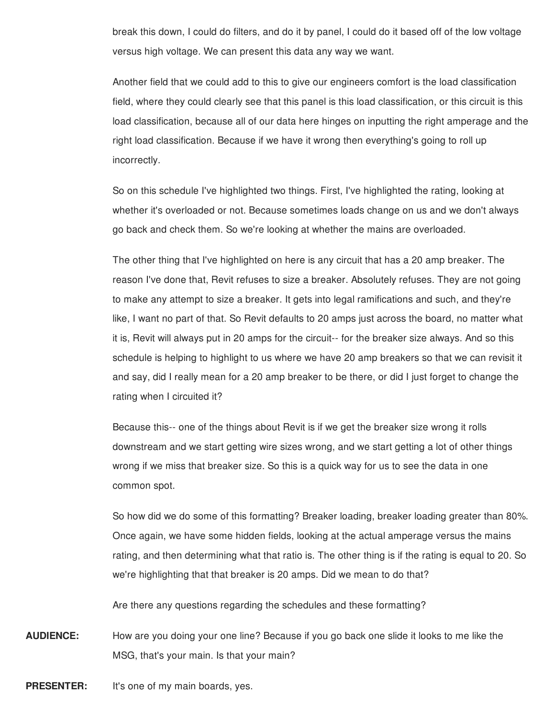break this down, I could do filters, and do it by panel, I could do it based off of the low voltage versus high voltage. We can present this data any way we want.

Another field that we could add to this to give our engineers comfort is the load classification field, where they could clearly see that this panel is this load classification, or this circuit is this load classification, because all of our data here hinges on inputting the right amperage and the right load classification. Because if we have it wrong then everything's going to roll up incorrectly.

So on this schedule I've highlighted two things. First, I've highlighted the rating, looking at whether it's overloaded or not. Because sometimes loads change on us and we don't always go back and check them. So we're looking at whether the mains are overloaded.

The other thing that I've highlighted on here is any circuit that has a 20 amp breaker. The reason I've done that, Revit refuses to size a breaker. Absolutely refuses. They are not going to make any attempt to size a breaker. It gets into legal ramifications and such, and they're like, I want no part of that. So Revit defaults to 20 amps just across the board, no matter what it is, Revit will always put in 20 amps for the circuit-- for the breaker size always. And so this schedule is helping to highlight to us where we have 20 amp breakers so that we can revisit it and say, did I really mean for a 20 amp breaker to be there, or did I just forget to change the rating when I circuited it?

Because this-- one of the things about Revit is if we get the breaker size wrong it rolls downstream and we start getting wire sizes wrong, and we start getting a lot of other things wrong if we miss that breaker size. So this is a quick way for us to see the data in one common spot.

So how did we do some of this formatting? Breaker loading, breaker loading greater than 80%. Once again, we have some hidden fields, looking at the actual amperage versus the mains rating, and then determining what that ratio is. The other thing is if the rating is equal to 20. So we're highlighting that that breaker is 20 amps. Did we mean to do that?

Are there any questions regarding the schedules and these formatting?

**AUDIENCE:** How are you doing your one line? Because if you go back one slide it looks to me like the MSG, that's your main. Is that your main?

**PRESENTER:** It's one of my main boards, yes.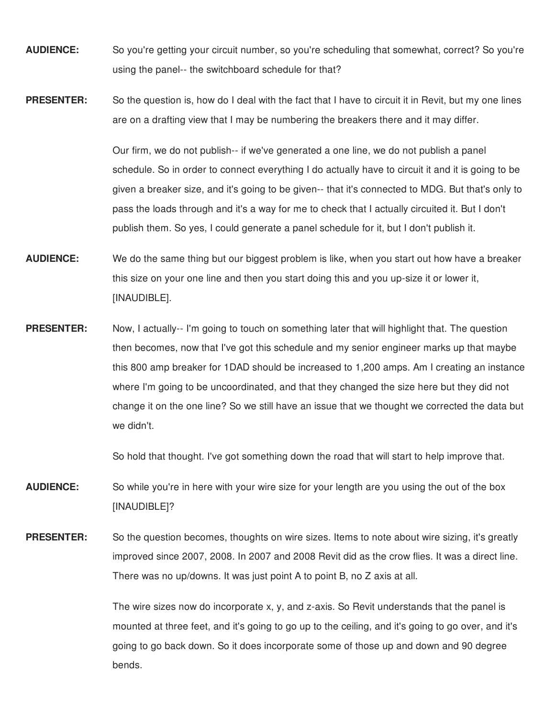- **AUDIENCE:** So you're getting your circuit number, so you're scheduling that somewhat, correct? So you're using the panel-- the switchboard schedule for that?
- **PRESENTER:** So the question is, how do I deal with the fact that I have to circuit it in Revit, but my one lines are on a drafting view that I may be numbering the breakers there and it may differ.

Our firm, we do not publish-- if we've generated a one line, we do not publish a panel schedule. So in order to connect everything I do actually have to circuit it and it is going to be given a breaker size, and it's going to be given-- that it's connected to MDG. But that's only to pass the loads through and it's a way for me to check that I actually circuited it. But I don't publish them. So yes, I could generate a panel schedule for it, but I don't publish it.

- **AUDIENCE:** We do the same thing but our biggest problem is like, when you start out how have a breaker this size on your one line and then you start doing this and you up-size it or lower it, [INAUDIBLE].
- **PRESENTER:** Now, I actually-- I'm going to touch on something later that will highlight that. The question then becomes, now that I've got this schedule and my senior engineer marks up that maybe this 800 amp breaker for 1DAD should be increased to 1,200 amps. Am I creating an instance where I'm going to be uncoordinated, and that they changed the size here but they did not change it on the one line? So we still have an issue that we thought we corrected the data but we didn't.

So hold that thought. I've got something down the road that will start to help improve that.

- **AUDIENCE:** So while you're in here with your wire size for your length are you using the out of the box [INAUDIBLE]?
- **PRESENTER:** So the question becomes, thoughts on wire sizes. Items to note about wire sizing, it's greatly improved since 2007, 2008. In 2007 and 2008 Revit did as the crow flies. It was a direct line. There was no up/downs. It was just point A to point B, no Z axis at all.

The wire sizes now do incorporate x, y, and z-axis. So Revit understands that the panel is mounted at three feet, and it's going to go up to the ceiling, and it's going to go over, and it's going to go back down. So it does incorporate some of those up and down and 90 degree bends.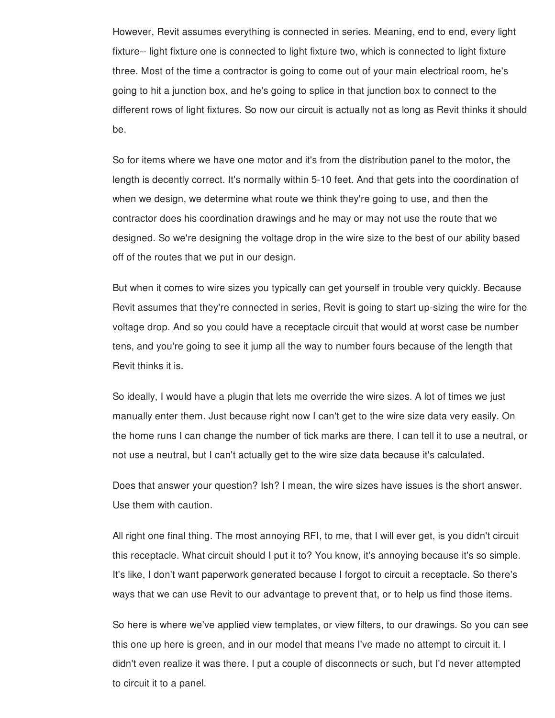However, Revit assumes everything is connected in series. Meaning, end to end, every light fixture-- light fixture one is connected to light fixture two, which is connected to light fixture three. Most of the time a contractor is going to come out of your main electrical room, he's going to hit a junction box, and he's going to splice in that junction box to connect to the different rows of light fixtures. So now our circuit is actually not as long as Revit thinks it should be.

So for items where we have one motor and it's from the distribution panel to the motor, the length is decently correct. It's normally within 5-10 feet. And that gets into the coordination of when we design, we determine what route we think they're going to use, and then the contractor does his coordination drawings and he may or may not use the route that we designed. So we're designing the voltage drop in the wire size to the best of our ability based off of the routes that we put in our design.

But when it comes to wire sizes you typically can get yourself in trouble very quickly. Because Revit assumes that they're connected in series, Revit is going to start up-sizing the wire for the voltage drop. And so you could have a receptacle circuit that would at worst case be number tens, and you're going to see it jump all the way to number fours because of the length that Revit thinks it is.

So ideally, I would have a plugin that lets me override the wire sizes. A lot of times we just manually enter them. Just because right now I can't get to the wire size data very easily. On the home runs I can change the number of tick marks are there, I can tell it to use a neutral, or not use a neutral, but I can't actually get to the wire size data because it's calculated.

Does that answer your question? Ish? I mean, the wire sizes have issues is the short answer. Use them with caution.

All right one final thing. The most annoying RFI, to me, that I will ever get, is you didn't circuit this receptacle. What circuit should I put it to? You know, it's annoying because it's so simple. It's like, I don't want paperwork generated because I forgot to circuit a receptacle. So there's ways that we can use Revit to our advantage to prevent that, or to help us find those items.

So here is where we've applied view templates, or view filters, to our drawings. So you can see this one up here is green, and in our model that means I've made no attempt to circuit it. I didn't even realize it was there. I put a couple of disconnects or such, but I'd never attempted to circuit it to a panel.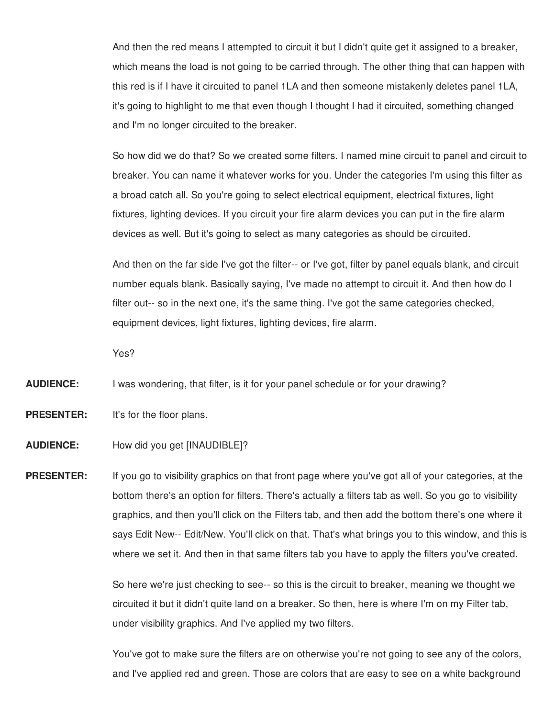And then the red means I attempted to circuit it but I didn't quite get it assigned to a breaker, which means the load is not going to be carried through. The other thing that can happen with this red is if I have it circuited to panel 1LA and then someone mistakenly deletes panel 1LA, it's going to highlight to me that even though I thought I had it circuited, something changed and I'm no longer circuited to the breaker.

So how did we do that? So we created some filters. I named mine circuit to panel and circuit to breaker. You can name it whatever works for you. Under the categories I'm using this filter as a broad catch all. So you're going to select electrical equipment, electrical fixtures, light fixtures, lighting devices. If you circuit your fire alarm devices you can put in the fire alarm devices as well. But it's going to select as many categories as should be circuited.

And then on the far side I've got the filter-- or I've got, filter by panel equals blank, and circuit number equals blank. Basically saying, I've made no attempt to circuit it. And then how do I filter out-- so in the next one, it's the same thing. I've got the same categories checked, equipment devices, light fixtures, lighting devices, fire alarm.

Yes?

**AUDIENCE:** I was wondering, that filter, is it for your panel schedule or for your drawing?

**PRESENTER:** It's for the floor plans.

**AUDIENCE:** How did you get [INAUDIBLE]?

**PRESENTER:** If you go to visibility graphics on that front page where you've got all of your categories, at the bottom there's an option for filters. There's actually a filters tab as well. So you go to visibility graphics, and then you'll click on the Filters tab, and then add the bottom there's one where it says Edit New-- Edit/New. You'll click on that. That's what brings you to this window, and this is where we set it. And then in that same filters tab you have to apply the filters you've created.

> So here we're just checking to see-- so this is the circuit to breaker, meaning we thought we circuited it but it didn't quite land on a breaker. So then, here is where I'm on my Filter tab, under visibility graphics. And I've applied my two filters.

You've got to make sure the filters are on otherwise you're not going to see any of the colors, and I've applied red and green. Those are colors that are easy to see on a white background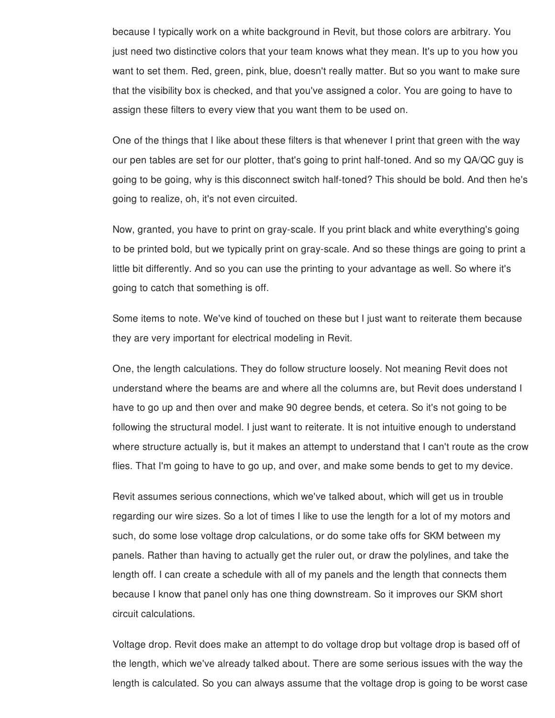because I typically work on a white background in Revit, but those colors are arbitrary. You just need two distinctive colors that your team knows what they mean. It's up to you how you want to set them. Red, green, pink, blue, doesn't really matter. But so you want to make sure that the visibility box is checked, and that you've assigned a color. You are going to have to assign these filters to every view that you want them to be used on.

One of the things that I like about these filters is that whenever I print that green with the way our pen tables are set for our plotter, that's going to print half-toned. And so my QA/QC guy is going to be going, why is this disconnect switch half-toned? This should be bold. And then he's going to realize, oh, it's not even circuited.

Now, granted, you have to print on gray-scale. If you print black and white everything's going to be printed bold, but we typically print on gray-scale. And so these things are going to print a little bit differently. And so you can use the printing to your advantage as well. So where it's going to catch that something is off.

Some items to note. We've kind of touched on these but I just want to reiterate them because they are very important for electrical modeling in Revit.

One, the length calculations. They do follow structure loosely. Not meaning Revit does not understand where the beams are and where all the columns are, but Revit does understand I have to go up and then over and make 90 degree bends, et cetera. So it's not going to be following the structural model. I just want to reiterate. It is not intuitive enough to understand where structure actually is, but it makes an attempt to understand that I can't route as the crow flies. That I'm going to have to go up, and over, and make some bends to get to my device.

Revit assumes serious connections, which we've talked about, which will get us in trouble regarding our wire sizes. So a lot of times I like to use the length for a lot of my motors and such, do some lose voltage drop calculations, or do some take offs for SKM between my panels. Rather than having to actually get the ruler out, or draw the polylines, and take the length off. I can create a schedule with all of my panels and the length that connects them because I know that panel only has one thing downstream. So it improves our SKM short circuit calculations.

Voltage drop. Revit does make an attempt to do voltage drop but voltage drop is based off of the length, which we've already talked about. There are some serious issues with the way the length is calculated. So you can always assume that the voltage drop is going to be worst case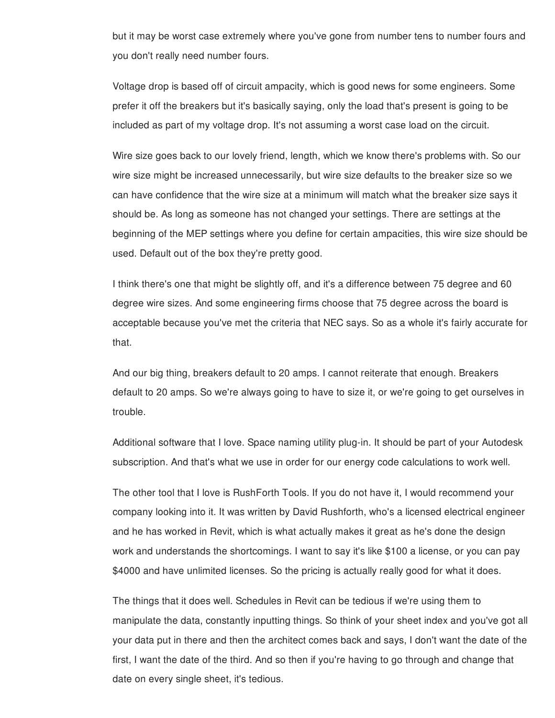but it may be worst case extremely where you've gone from number tens to number fours and you don't really need number fours.

Voltage drop is based off of circuit ampacity, which is good news for some engineers. Some prefer it off the breakers but it's basically saying, only the load that's present is going to be included as part of my voltage drop. It's not assuming a worst case load on the circuit.

Wire size goes back to our lovely friend, length, which we know there's problems with. So our wire size might be increased unnecessarily, but wire size defaults to the breaker size so we can have confidence that the wire size at a minimum will match what the breaker size says it should be. As long as someone has not changed your settings. There are settings at the beginning of the MEP settings where you define for certain ampacities, this wire size should be used. Default out of the box they're pretty good.

I think there's one that might be slightly off, and it's a difference between 75 degree and 60 degree wire sizes. And some engineering firms choose that 75 degree across the board is acceptable because you've met the criteria that NEC says. So as a whole it's fairly accurate for that.

And our big thing, breakers default to 20 amps. I cannot reiterate that enough. Breakers default to 20 amps. So we're always going to have to size it, or we're going to get ourselves in trouble.

Additional software that I love. Space naming utility plug-in. It should be part of your Autodesk subscription. And that's what we use in order for our energy code calculations to work well.

The other tool that I love is RushForth Tools. If you do not have it, I would recommend your company looking into it. It was written by David Rushforth, who's a licensed electrical engineer and he has worked in Revit, which is what actually makes it great as he's done the design work and understands the shortcomings. I want to say it's like \$100 a license, or you can pay \$4000 and have unlimited licenses. So the pricing is actually really good for what it does.

The things that it does well. Schedules in Revit can be tedious if we're using them to manipulate the data, constantly inputting things. So think of your sheet index and you've got all your data put in there and then the architect comes back and says, I don't want the date of the first, I want the date of the third. And so then if you're having to go through and change that date on every single sheet, it's tedious.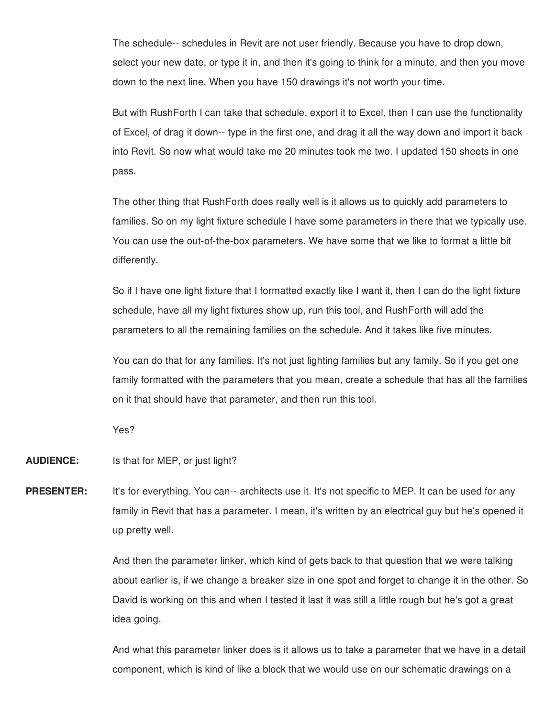The schedule-- schedules in Revit are not user friendly. Because you have to drop down, select your new date, or type it in, and then it's going to think for a minute, and then you move down to the next line. When you have 150 drawings it's not worth your time.

But with RushForth I can take that schedule, export it to Excel, then I can use the functionality of Excel, of drag it down-- type in the first one, and drag it all the way down and import it back into Revit. So now what would take me 20 minutes took me two. I updated 150 sheets in one pass.

The other thing that RushForth does really well is it allows us to quickly add parameters to families. So on my light fixture schedule I have some parameters in there that we typically use. You can use the out-of-the-box parameters. We have some that we like to format a little bit differently.

So if I have one light fixture that I formatted exactly like I want it, then I can do the light fixture schedule, have all my light fixtures show up, run this tool, and RushForth will add the parameters to all the remaining families on the schedule. And it takes like five minutes.

You can do that for any families. It's not just lighting families but any family. So if you get one family formatted with the parameters that you mean, create a schedule that has all the families on it that should have that parameter, and then run this tool.

Yes?

**AUDIENCE:** Is that for MEP, or just light?

**PRESENTER:** It's for everything. You can-- architects use it. It's not specific to MEP. It can be used for any family in Revit that has a parameter. I mean, it's written by an electrical guy but he's opened it up pretty well.

> And then the parameter linker, which kind of gets back to that question that we were talking about earlier is, if we change a breaker size in one spot and forget to change it in the other. So David is working on this and when I tested it last it was still a little rough but he's got a great idea going.

> And what this parameter linker does is it allows us to take a parameter that we have in a detail component, which is kind of like a block that we would use on our schematic drawings on a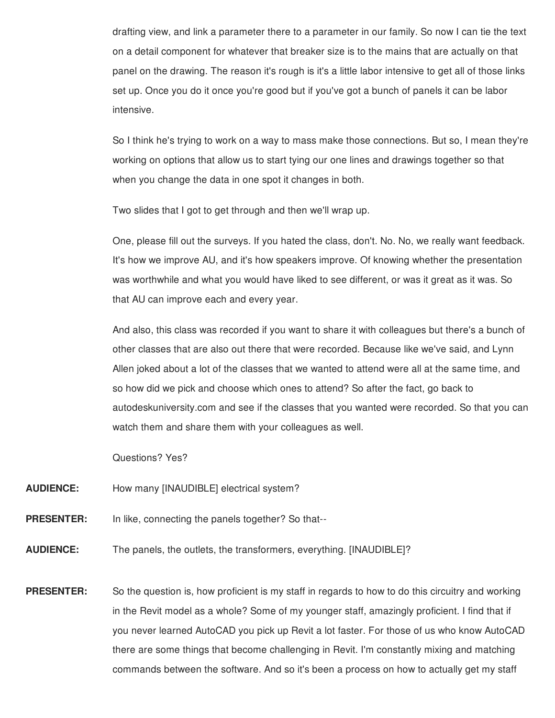drafting view, and link a parameter there to a parameter in our family. So now I can tie the text on a detail component for whatever that breaker size is to the mains that are actually on that panel on the drawing. The reason it's rough is it's a little labor intensive to get all of those links set up. Once you do it once you're good but if you've got a bunch of panels it can be labor intensive.

So I think he's trying to work on a way to mass make those connections. But so, I mean they're working on options that allow us to start tying our one lines and drawings together so that when you change the data in one spot it changes in both.

Two slides that I got to get through and then we'll wrap up.

One, please fill out the surveys. If you hated the class, don't. No. No, we really want feedback. It's how we improve AU, and it's how speakers improve. Of knowing whether the presentation was worthwhile and what you would have liked to see different, or was it great as it was. So that AU can improve each and every year.

And also, this class was recorded if you want to share it with colleagues but there's a bunch of other classes that are also out there that were recorded. Because like we've said, and Lynn Allen joked about a lot of the classes that we wanted to attend were all at the same time, and so how did we pick and choose which ones to attend? So after the fact, go back to autodeskuniversity.com and see if the classes that you wanted were recorded. So that you can watch them and share them with your colleagues as well.

Questions? Yes?

- **AUDIENCE:** How many [INAUDIBLE] electrical system?
- **PRESENTER:** In like, connecting the panels together? So that--
- **AUDIENCE:** The panels, the outlets, the transformers, everything. [INAUDIBLE]?
- **PRESENTER:** So the question is, how proficient is my staff in regards to how to do this circuitry and working in the Revit model as a whole? Some of my younger staff, amazingly proficient. I find that if you never learned AutoCAD you pick up Revit a lot faster. For those of us who know AutoCAD there are some things that become challenging in Revit. I'm constantly mixing and matching commands between the software. And so it's been a process on how to actually get my staff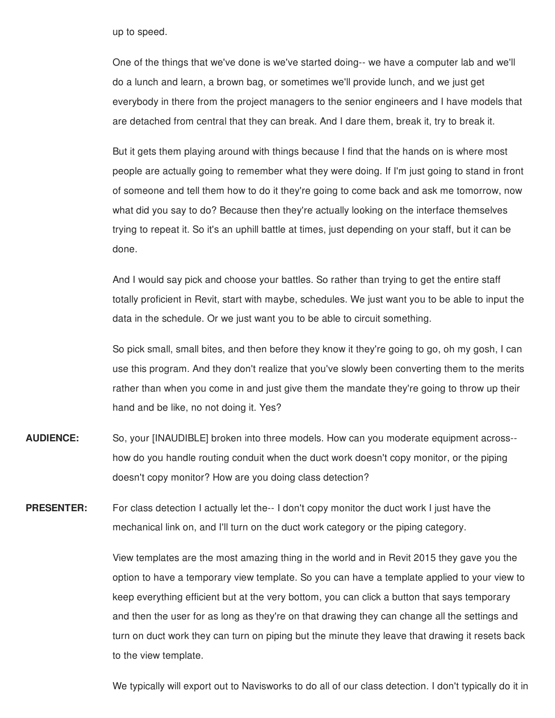up to speed.

One of the things that we've done is we've started doing-- we have a computer lab and we'll do a lunch and learn, a brown bag, or sometimes we'll provide lunch, and we just get everybody in there from the project managers to the senior engineers and I have models that are detached from central that they can break. And I dare them, break it, try to break it.

But it gets them playing around with things because I find that the hands on is where most people are actually going to remember what they were doing. If I'm just going to stand in front of someone and tell them how to do it they're going to come back and ask me tomorrow, now what did you say to do? Because then they're actually looking on the interface themselves trying to repeat it. So it's an uphill battle at times, just depending on your staff, but it can be done.

And I would say pick and choose your battles. So rather than trying to get the entire staff totally proficient in Revit, start with maybe, schedules. We just want you to be able to input the data in the schedule. Or we just want you to be able to circuit something.

So pick small, small bites, and then before they know it they're going to go, oh my gosh, I can use this program. And they don't realize that you've slowly been converting them to the merits rather than when you come in and just give them the mandate they're going to throw up their hand and be like, no not doing it. Yes?

**AUDIENCE:** So, your [INAUDIBLE] broken into three models. How can you moderate equipment across- how do you handle routing conduit when the duct work doesn't copy monitor, or the piping doesn't copy monitor? How are you doing class detection?

**PRESENTER:** For class detection I actually let the-- I don't copy monitor the duct work I just have the mechanical link on, and I'll turn on the duct work category or the piping category.

> View templates are the most amazing thing in the world and in Revit 2015 they gave you the option to have a temporary view template. So you can have a template applied to your view to keep everything efficient but at the very bottom, you can click a button that says temporary and then the user for as long as they're on that drawing they can change all the settings and turn on duct work they can turn on piping but the minute they leave that drawing it resets back to the view template.

> We typically will export out to Navisworks to do all of our class detection. I don't typically do it in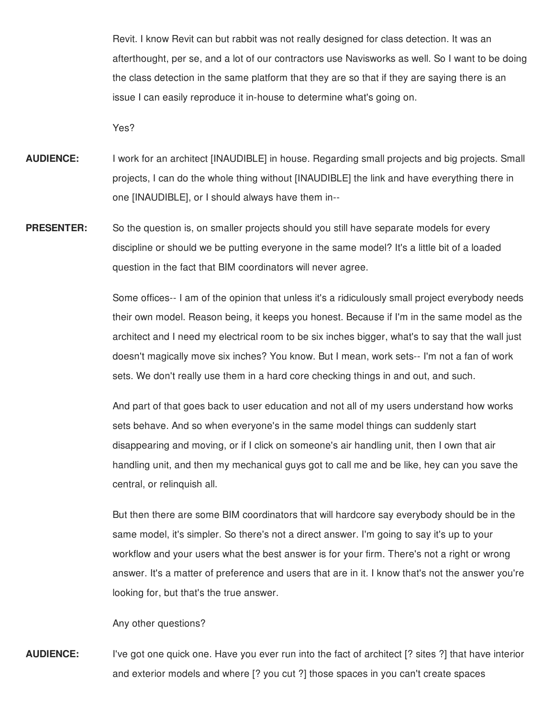Revit. I know Revit can but rabbit was not really designed for class detection. It was an afterthought, per se, and a lot of our contractors use Navisworks as well. So I want to be doing the class detection in the same platform that they are so that if they are saying there is an issue I can easily reproduce it in-house to determine what's going on.

Yes?

- **AUDIENCE:** I work for an architect [INAUDIBLE] in house. Regarding small projects and big projects. Small projects, I can do the whole thing without [INAUDIBLE] the link and have everything there in one [INAUDIBLE], or I should always have them in--
- **PRESENTER:** So the question is, on smaller projects should you still have separate models for every discipline or should we be putting everyone in the same model? It's a little bit of a loaded question in the fact that BIM coordinators will never agree.

Some offices-- I am of the opinion that unless it's a ridiculously small project everybody needs their own model. Reason being, it keeps you honest. Because if I'm in the same model as the architect and I need my electrical room to be six inches bigger, what's to say that the wall just doesn't magically move six inches? You know. But I mean, work sets-- I'm not a fan of work sets. We don't really use them in a hard core checking things in and out, and such.

And part of that goes back to user education and not all of my users understand how works sets behave. And so when everyone's in the same model things can suddenly start disappearing and moving, or if I click on someone's air handling unit, then I own that air handling unit, and then my mechanical guys got to call me and be like, hey can you save the central, or relinquish all.

But then there are some BIM coordinators that will hardcore say everybody should be in the same model, it's simpler. So there's not a direct answer. I'm going to say it's up to your workflow and your users what the best answer is for your firm. There's not a right or wrong answer. It's a matter of preference and users that are in it. I know that's not the answer you're looking for, but that's the true answer.

Any other questions?

**AUDIENCE:** I've got one quick one. Have you ever run into the fact of architect [? sites ?] that have interior and exterior models and where [? you cut ?] those spaces in you can't create spaces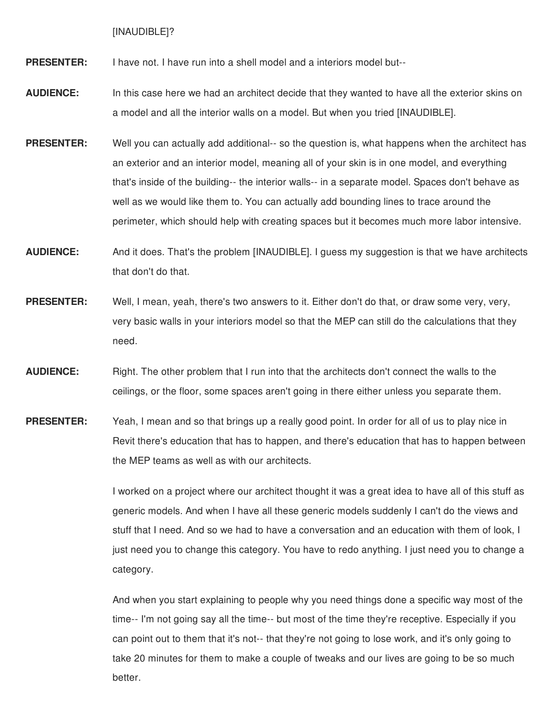[INAUDIBLE]?

**PRESENTER:** I have not. I have run into a shell model and a interiors model but--

- **AUDIENCE:** In this case here we had an architect decide that they wanted to have all the exterior skins on a model and all the interior walls on a model. But when you tried [INAUDIBLE].
- **PRESENTER:** Well you can actually add additional-- so the question is, what happens when the architect has an exterior and an interior model, meaning all of your skin is in one model, and everything that's inside of the building-- the interior walls-- in a separate model. Spaces don't behave as well as we would like them to. You can actually add bounding lines to trace around the perimeter, which should help with creating spaces but it becomes much more labor intensive.
- **AUDIENCE:** And it does. That's the problem [INAUDIBLE]. I guess my suggestion is that we have architects that don't do that.
- **PRESENTER:** Well, I mean, yeah, there's two answers to it. Either don't do that, or draw some very, very, very basic walls in your interiors model so that the MEP can still do the calculations that they need.
- **AUDIENCE:** Right. The other problem that I run into that the architects don't connect the walls to the ceilings, or the floor, some spaces aren't going in there either unless you separate them.
- **PRESENTER:** Yeah, I mean and so that brings up a really good point. In order for all of us to play nice in Revit there's education that has to happen, and there's education that has to happen between the MEP teams as well as with our architects.

I worked on a project where our architect thought it was a great idea to have all of this stuff as generic models. And when I have all these generic models suddenly I can't do the views and stuff that I need. And so we had to have a conversation and an education with them of look, I just need you to change this category. You have to redo anything. I just need you to change a category.

And when you start explaining to people why you need things done a specific way most of the time-- I'm not going say all the time-- but most of the time they're receptive. Especially if you can point out to them that it's not-- that they're not going to lose work, and it's only going to take 20 minutes for them to make a couple of tweaks and our lives are going to be so much better.